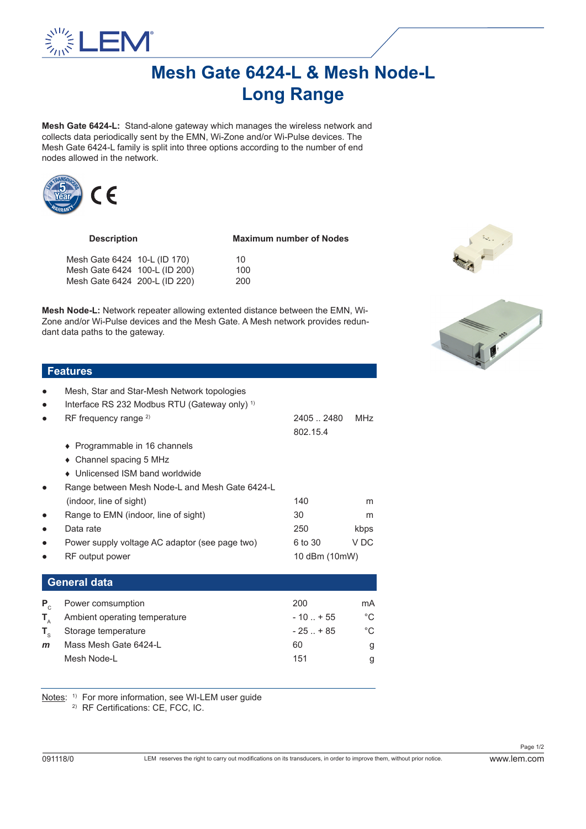

## **Mesh Gate 6424-L & Mesh Node-L Long Range**

**Mesh Gate 6424-L:** Stand-alone gateway which manages the wireless network and collects data periodically sent by the EMN, Wi-Zone and/or Wi-Pulse devices. The Mesh Gate 6424-L family is split into three options according to the number of end nodes allowed in the network.



| <b>Description</b>            |  | <b>Maximum number of Nodes</b> |  |
|-------------------------------|--|--------------------------------|--|
| Mesh Gate 6424 10-L (ID 170)  |  | 10                             |  |
| Mesh Gate 6424 100-L (ID 200) |  | 100                            |  |
| Mesh Gate 6424 200-L (ID 220) |  | 200                            |  |

**Mesh Node-L:** Network repeater allowing extented distance between the EMN, Wi-Zone and/or Wi-Pulse devices and the Mesh Gate. A Mesh network provides redundant data paths to the gateway.





## **Features**

|              | Mesh, Star and Star-Mesh Network topologies              |               |            |
|--------------|----------------------------------------------------------|---------------|------------|
|              | Interface RS 232 Modbus RTU (Gateway only) <sup>1)</sup> |               |            |
|              | RF frequency range $^{2)}$                               | 2405 .2480    | <b>MHz</b> |
|              |                                                          | 802.15.4      |            |
|              | $\bullet$ Programmable in 16 channels                    |               |            |
|              | $\bullet$ Channel spacing 5 MHz                          |               |            |
|              | • Unlicensed ISM band worldwide                          |               |            |
|              | Range between Mesh Node-L and Mesh Gate 6424-L           |               |            |
|              | (indoor, line of sight)                                  | 140           | m          |
|              | Range to EMN (indoor, line of sight)                     | 30            | m          |
|              | Data rate                                                | 250           | kbps       |
|              | Power supply voltage AC adaptor (see page two)           | 6 to 30       | V DC       |
|              | RF output power                                          | 10 dBm (10mW) |            |
|              |                                                          |               |            |
|              | <b>General data</b>                                      |               |            |
| $P_{\alpha}$ | Power comsumption                                        | 200           | mA         |

| T.           | Ambient operating temperature   | $-10$ $+55$ | °C |
|--------------|---------------------------------|-------------|----|
|              | $T_{\rm c}$ Storage temperature | $-25$ $+85$ | °C |
| $\mathsf{m}$ | Mass Mesh Gate 6424-L           | 60          | g  |
|              | Mesh Node-L                     | 151         |    |
|              |                                 |             |    |

Notes: <sup>1)</sup> For more information, see WI-LEM user guide

2) RF Certifications: CE, FCC, IC.

Page 1/2